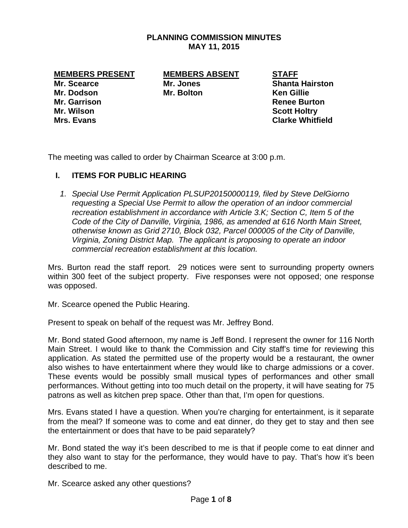# **PLANNING COMMISSION MINUTES MAY 11, 2015**

**MEMBERS PRESENT MEMBERS ABSENT STAFF** 

**Mr. Dodson Mr. Bolton Ken Gillie Mr. Garrison Renee Burton Mr. Wilson Scott Holtry** 

**Mr. Scearce Mr. Jones Shanta Hairston Mrs. Evans Clarke Whitfield** 

The meeting was called to order by Chairman Scearce at 3:00 p.m.

# **I. ITEMS FOR PUBLIC HEARING**

*1. Special Use Permit Application PLSUP20150000119, filed by Steve DelGiorno requesting a Special Use Permit to allow the operation of an indoor commercial recreation establishment in accordance with Article 3.K; Section C, Item 5 of the Code of the City of Danville, Virginia, 1986, as amended at 616 North Main Street, otherwise known as Grid 2710, Block 032, Parcel 000005 of the City of Danville, Virginia, Zoning District Map. The applicant is proposing to operate an indoor commercial recreation establishment at this location.* 

Mrs. Burton read the staff report. 29 notices were sent to surrounding property owners within 300 feet of the subject property. Five responses were not opposed; one response was opposed.

Mr. Scearce opened the Public Hearing.

Present to speak on behalf of the request was Mr. Jeffrey Bond.

Mr. Bond stated Good afternoon, my name is Jeff Bond. I represent the owner for 116 North Main Street. I would like to thank the Commission and City staff's time for reviewing this application. As stated the permitted use of the property would be a restaurant, the owner also wishes to have entertainment where they would like to charge admissions or a cover. These events would be possibly small musical types of performances and other small performances. Without getting into too much detail on the property, it will have seating for 75 patrons as well as kitchen prep space. Other than that, I'm open for questions.

Mrs. Evans stated I have a question. When you're charging for entertainment, is it separate from the meal? If someone was to come and eat dinner, do they get to stay and then see the entertainment or does that have to be paid separately?

Mr. Bond stated the way it's been described to me is that if people come to eat dinner and they also want to stay for the performance, they would have to pay. That's how it's been described to me.

Mr. Scearce asked any other questions?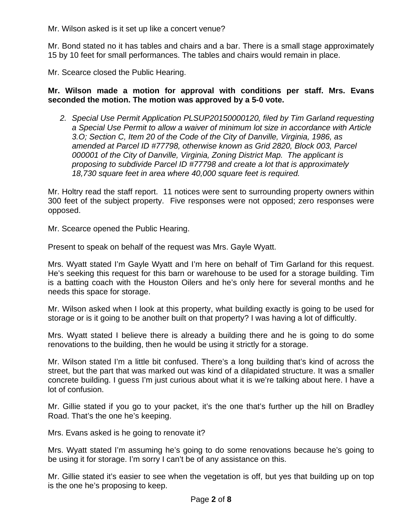Mr. Wilson asked is it set up like a concert venue?

Mr. Bond stated no it has tables and chairs and a bar. There is a small stage approximately 15 by 10 feet for small performances. The tables and chairs would remain in place.

Mr. Scearce closed the Public Hearing.

**Mr. Wilson made a motion for approval with conditions per staff. Mrs. Evans seconded the motion. The motion was approved by a 5-0 vote.** 

2. Special Use Permit Application PLSUP20150000120, filed by Tim Garland requesting *a Special Use Permit to allow a waiver of minimum lot size in accordance with Article 3.O; Section C, Item 20 of the Code of the City of Danville, Virginia, 1986, as amended at Parcel ID #77798, otherwise known as Grid 2820, Block 003, Parcel 000001 of the City of Danville, Virginia, Zoning District Map. The applicant is proposing to subdivide Parcel ID #77798 and create a lot that is approximately 18,730 square feet in area where 40,000 square feet is required.* 

Mr. Holtry read the staff report. 11 notices were sent to surrounding property owners within 300 feet of the subject property. Five responses were not opposed; zero responses were opposed.

Mr. Scearce opened the Public Hearing.

Present to speak on behalf of the request was Mrs. Gayle Wyatt.

Mrs. Wyatt stated I'm Gayle Wyatt and I'm here on behalf of Tim Garland for this request. He's seeking this request for this barn or warehouse to be used for a storage building. Tim is a batting coach with the Houston Oilers and he's only here for several months and he needs this space for storage.

Mr. Wilson asked when I look at this property, what building exactly is going to be used for storage or is it going to be another built on that property? I was having a lot of difficultly.

Mrs. Wyatt stated I believe there is already a building there and he is going to do some renovations to the building, then he would be using it strictly for a storage.

Mr. Wilson stated I'm a little bit confused. There's a long building that's kind of across the street, but the part that was marked out was kind of a dilapidated structure. It was a smaller concrete building. I guess I'm just curious about what it is we're talking about here. I have a lot of confusion.

Mr. Gillie stated if you go to your packet, it's the one that's further up the hill on Bradley Road. That's the one he's keeping.

Mrs. Evans asked is he going to renovate it?

Mrs. Wyatt stated I'm assuming he's going to do some renovations because he's going to be using it for storage. I'm sorry I can't be of any assistance on this.

Mr. Gillie stated it's easier to see when the vegetation is off, but yes that building up on top is the one he's proposing to keep.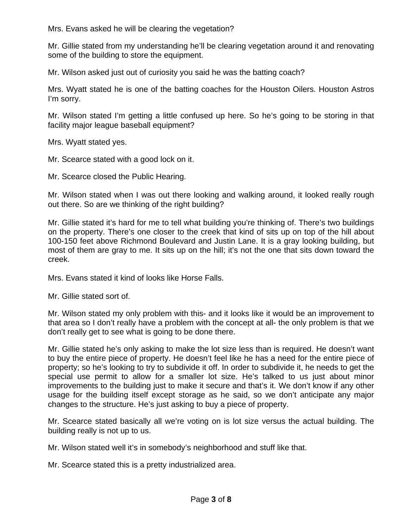Mrs. Evans asked he will be clearing the vegetation?

Mr. Gillie stated from my understanding he'll be clearing vegetation around it and renovating some of the building to store the equipment.

Mr. Wilson asked just out of curiosity you said he was the batting coach?

Mrs. Wyatt stated he is one of the batting coaches for the Houston Oilers. Houston Astros I'm sorry.

Mr. Wilson stated I'm getting a little confused up here. So he's going to be storing in that facility major league baseball equipment?

Mrs. Wyatt stated yes.

Mr. Scearce stated with a good lock on it.

Mr. Scearce closed the Public Hearing.

Mr. Wilson stated when I was out there looking and walking around, it looked really rough out there. So are we thinking of the right building?

Mr. Gillie stated it's hard for me to tell what building you're thinking of. There's two buildings on the property. There's one closer to the creek that kind of sits up on top of the hill about 100-150 feet above Richmond Boulevard and Justin Lane. It is a gray looking building, but most of them are gray to me. It sits up on the hill; it's not the one that sits down toward the creek.

Mrs. Evans stated it kind of looks like Horse Falls.

Mr. Gillie stated sort of.

Mr. Wilson stated my only problem with this- and it looks like it would be an improvement to that area so I don't really have a problem with the concept at all- the only problem is that we don't really get to see what is going to be done there.

Mr. Gillie stated he's only asking to make the lot size less than is required. He doesn't want to buy the entire piece of property. He doesn't feel like he has a need for the entire piece of property; so he's looking to try to subdivide it off. In order to subdivide it, he needs to get the special use permit to allow for a smaller lot size. He's talked to us just about minor improvements to the building just to make it secure and that's it. We don't know if any other usage for the building itself except storage as he said, so we don't anticipate any major changes to the structure. He's just asking to buy a piece of property.

Mr. Scearce stated basically all we're voting on is lot size versus the actual building. The building really is not up to us.

Mr. Wilson stated well it's in somebody's neighborhood and stuff like that.

Mr. Scearce stated this is a pretty industrialized area.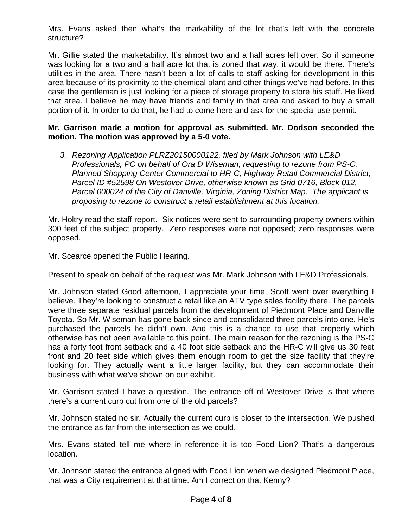Mrs. Evans asked then what's the markability of the lot that's left with the concrete structure?

Mr. Gillie stated the marketability. It's almost two and a half acres left over. So if someone was looking for a two and a half acre lot that is zoned that way, it would be there. There's utilities in the area. There hasn't been a lot of calls to staff asking for development in this area because of its proximity to the chemical plant and other things we've had before. In this case the gentleman is just looking for a piece of storage property to store his stuff. He liked that area. I believe he may have friends and family in that area and asked to buy a small portion of it. In order to do that, he had to come here and ask for the special use permit.

# **Mr. Garrison made a motion for approval as submitted. Mr. Dodson seconded the motion. The motion was approved by a 5-0 vote.**

*3. Rezoning Application PLRZ20150000122, filed by Mark Johnson with LE&D Professionals, PC on behalf of Ora D Wiseman, requesting to rezone from PS-C, Planned Shopping Center Commercial to HR-C, Highway Retail Commercial District, Parcel ID #52598 On Westover Drive, otherwise known as Grid 0716, Block 012, Parcel 000024 of the City of Danville, Virginia, Zoning District Map. The applicant is proposing to rezone to construct a retail establishment at this location.* 

Mr. Holtry read the staff report. Six notices were sent to surrounding property owners within 300 feet of the subject property. Zero responses were not opposed; zero responses were opposed.

Mr. Scearce opened the Public Hearing.

Present to speak on behalf of the request was Mr. Mark Johnson with LE&D Professionals.

Mr. Johnson stated Good afternoon, I appreciate your time. Scott went over everything I believe. They're looking to construct a retail like an ATV type sales facility there. The parcels were three separate residual parcels from the development of Piedmont Place and Danville Toyota. So Mr. Wiseman has gone back since and consolidated three parcels into one. He's purchased the parcels he didn't own. And this is a chance to use that property which otherwise has not been available to this point. The main reason for the rezoning is the PS-C has a forty foot front setback and a 40 foot side setback and the HR-C will give us 30 feet front and 20 feet side which gives them enough room to get the size facility that they're looking for. They actually want a little larger facility, but they can accommodate their business with what we've shown on our exhibit.

Mr. Garrison stated I have a question. The entrance off of Westover Drive is that where there's a current curb cut from one of the old parcels?

Mr. Johnson stated no sir. Actually the current curb is closer to the intersection. We pushed the entrance as far from the intersection as we could.

Mrs. Evans stated tell me where in reference it is too Food Lion? That's a dangerous location.

Mr. Johnson stated the entrance aligned with Food Lion when we designed Piedmont Place, that was a City requirement at that time. Am I correct on that Kenny?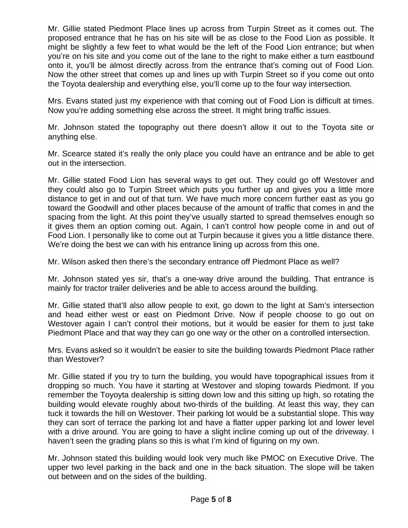Mr. Gillie stated Piedmont Place lines up across from Turpin Street as it comes out. The proposed entrance that he has on his site will be as close to the Food Lion as possible. It might be slightly a few feet to what would be the left of the Food Lion entrance; but when you're on his site and you come out of the lane to the right to make either a turn eastbound onto it, you'll be almost directly across from the entrance that's coming out of Food Lion. Now the other street that comes up and lines up with Turpin Street so if you come out onto the Toyota dealership and everything else, you'll come up to the four way intersection.

Mrs. Evans stated just my experience with that coming out of Food Lion is difficult at times. Now you're adding something else across the street. It might bring traffic issues.

Mr. Johnson stated the topography out there doesn't allow it out to the Toyota site or anything else.

Mr. Scearce stated it's really the only place you could have an entrance and be able to get out in the intersection.

Mr. Gillie stated Food Lion has several ways to get out. They could go off Westover and they could also go to Turpin Street which puts you further up and gives you a little more distance to get in and out of that turn. We have much more concern further east as you go toward the Goodwill and other places because of the amount of traffic that comes in and the spacing from the light. At this point they've usually started to spread themselves enough so it gives them an option coming out. Again, I can't control how people come in and out of Food Lion. I personally like to come out at Turpin because it gives you a little distance there. We're doing the best we can with his entrance lining up across from this one.

Mr. Wilson asked then there's the secondary entrance off Piedmont Place as well?

Mr. Johnson stated yes sir, that's a one-way drive around the building. That entrance is mainly for tractor trailer deliveries and be able to access around the building.

Mr. Gillie stated that'll also allow people to exit, go down to the light at Sam's intersection and head either west or east on Piedmont Drive. Now if people choose to go out on Westover again I can't control their motions, but it would be easier for them to just take Piedmont Place and that way they can go one way or the other on a controlled intersection.

Mrs. Evans asked so it wouldn't be easier to site the building towards Piedmont Place rather than Westover?

Mr. Gillie stated if you try to turn the building, you would have topographical issues from it dropping so much. You have it starting at Westover and sloping towards Piedmont. If you remember the Toyoyta dealership is sitting down low and this sitting up high, so rotating the building would elevate roughly about two-thirds of the building. At least this way, they can tuck it towards the hill on Westover. Their parking lot would be a substantial slope. This way they can sort of terrace the parking lot and have a flatter upper parking lot and lower level with a drive around. You are going to have a slight incline coming up out of the driveway. I haven't seen the grading plans so this is what I'm kind of figuring on my own.

Mr. Johnson stated this building would look very much like PMOC on Executive Drive. The upper two level parking in the back and one in the back situation. The slope will be taken out between and on the sides of the building.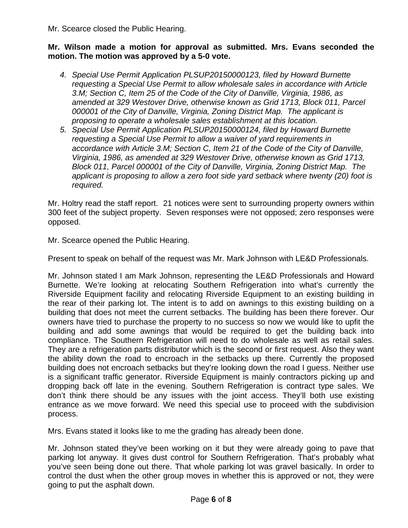Mr. Scearce closed the Public Hearing.

## **Mr. Wilson made a motion for approval as submitted. Mrs. Evans seconded the motion. The motion was approved by a 5-0 vote.**

- *4. Special Use Permit Application PLSUP20150000123, filed by Howard Burnette requesting a Special Use Permit to allow wholesale sales in accordance with Article 3.M; Section C, Item 25 of the Code of the City of Danville, Virginia, 1986, as amended at 329 Westover Drive, otherwise known as Grid 1713, Block 011, Parcel 000001 of the City of Danville, Virginia, Zoning District Map. The applicant is proposing to operate a wholesale sales establishment at this location.*
- *5. Special Use Permit Application PLSUP20150000124, filed by Howard Burnette requesting a Special Use Permit to allow a waiver of yard requirements in accordance with Article 3.M; Section C, Item 21 of the Code of the City of Danville, Virginia, 1986, as amended at 329 Westover Drive, otherwise known as Grid 1713, Block 011, Parcel 000001 of the City of Danville, Virginia, Zoning District Map. The applicant is proposing to allow a zero foot side yard setback where twenty (20) foot is required.*

Mr. Holtry read the staff report. 21 notices were sent to surrounding property owners within 300 feet of the subject property. Seven responses were not opposed; zero responses were opposed.

Mr. Scearce opened the Public Hearing.

Present to speak on behalf of the request was Mr. Mark Johnson with LE&D Professionals.

Mr. Johnson stated I am Mark Johnson, representing the LE&D Professionals and Howard Burnette. We're looking at relocating Southern Refrigeration into what's currently the Riverside Equipment facility and relocating Riverside Equipment to an existing building in the rear of their parking lot. The intent is to add on awnings to this existing building on a building that does not meet the current setbacks. The building has been there forever. Our owners have tried to purchase the property to no success so now we would like to upfit the building and add some awnings that would be required to get the building back into compliance. The Southern Refrigeration will need to do wholesale as well as retail sales. They are a refrigeration parts distributor which is the second or first request. Also they want the ability down the road to encroach in the setbacks up there. Currently the proposed building does not encroach setbacks but they're looking down the road I guess. Neither use is a significant traffic generator. Riverside Equipment is mainly contractors picking up and dropping back off late in the evening. Southern Refrigeration is contract type sales. We don't think there should be any issues with the joint access. They'll both use existing entrance as we move forward. We need this special use to proceed with the subdivision process.

Mrs. Evans stated it looks like to me the grading has already been done.

Mr. Johnson stated they've been working on it but they were already going to pave that parking lot anyway. It gives dust control for Southern Refrigeration. That's probably what you've seen being done out there. That whole parking lot was gravel basically. In order to control the dust when the other group moves in whether this is approved or not, they were going to put the asphalt down.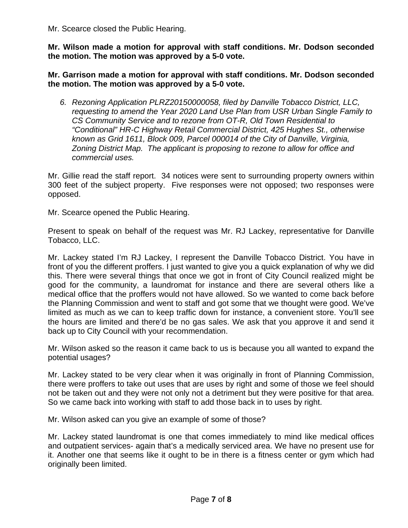Mr. Scearce closed the Public Hearing.

**Mr. Wilson made a motion for approval with staff conditions. Mr. Dodson seconded the motion. The motion was approved by a 5-0 vote.** 

**Mr. Garrison made a motion for approval with staff conditions. Mr. Dodson seconded the motion. The motion was approved by a 5-0 vote.** 

*6. Rezoning Application PLRZ20150000058, filed by Danville Tobacco District, LLC, requesting to amend the Year 2020 Land Use Plan from USR Urban Single Family to CS Community Service and to rezone from OT-R, Old Town Residential to "Conditional" HR-C Highway Retail Commercial District, 425 Hughes St., otherwise known as Grid 1611, Block 009, Parcel 000014 of the City of Danville, Virginia, Zoning District Map. The applicant is proposing to rezone to allow for office and commercial uses.* 

Mr. Gillie read the staff report. 34 notices were sent to surrounding property owners within 300 feet of the subject property. Five responses were not opposed; two responses were opposed.

Mr. Scearce opened the Public Hearing.

Present to speak on behalf of the request was Mr. RJ Lackey, representative for Danville Tobacco, LLC.

Mr. Lackey stated I'm RJ Lackey, I represent the Danville Tobacco District. You have in front of you the different proffers. I just wanted to give you a quick explanation of why we did this. There were several things that once we got in front of City Council realized might be good for the community, a laundromat for instance and there are several others like a medical office that the proffers would not have allowed. So we wanted to come back before the Planning Commission and went to staff and got some that we thought were good. We've limited as much as we can to keep traffic down for instance, a convenient store. You'll see the hours are limited and there'd be no gas sales. We ask that you approve it and send it back up to City Council with your recommendation.

Mr. Wilson asked so the reason it came back to us is because you all wanted to expand the potential usages?

Mr. Lackey stated to be very clear when it was originally in front of Planning Commission, there were proffers to take out uses that are uses by right and some of those we feel should not be taken out and they were not only not a detriment but they were positive for that area. So we came back into working with staff to add those back in to uses by right.

Mr. Wilson asked can you give an example of some of those?

Mr. Lackey stated laundromat is one that comes immediately to mind like medical offices and outpatient services- again that's a medically serviced area. We have no present use for it. Another one that seems like it ought to be in there is a fitness center or gym which had originally been limited.